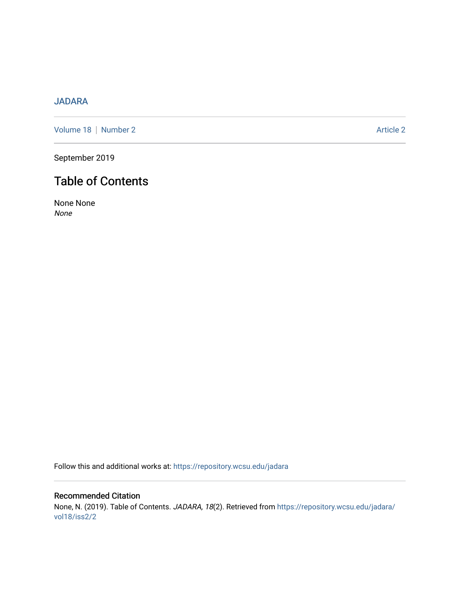# [JADARA](https://repository.wcsu.edu/jadara)

[Volume 18](https://repository.wcsu.edu/jadara/vol18) | [Number 2](https://repository.wcsu.edu/jadara/vol18/iss2) Article 2

September 2019

# Table of Contents

None None None

Follow this and additional works at: [https://repository.wcsu.edu/jadara](https://repository.wcsu.edu/jadara?utm_source=repository.wcsu.edu%2Fjadara%2Fvol18%2Fiss2%2F2&utm_medium=PDF&utm_campaign=PDFCoverPages)

Recommended Citation None, N. (2019). Table of Contents. JADARA, 18(2). Retrieved from [https://repository.wcsu.edu/jadara/](https://repository.wcsu.edu/jadara/vol18/iss2/2?utm_source=repository.wcsu.edu%2Fjadara%2Fvol18%2Fiss2%2F2&utm_medium=PDF&utm_campaign=PDFCoverPages) [vol18/iss2/2](https://repository.wcsu.edu/jadara/vol18/iss2/2?utm_source=repository.wcsu.edu%2Fjadara%2Fvol18%2Fiss2%2F2&utm_medium=PDF&utm_campaign=PDFCoverPages)